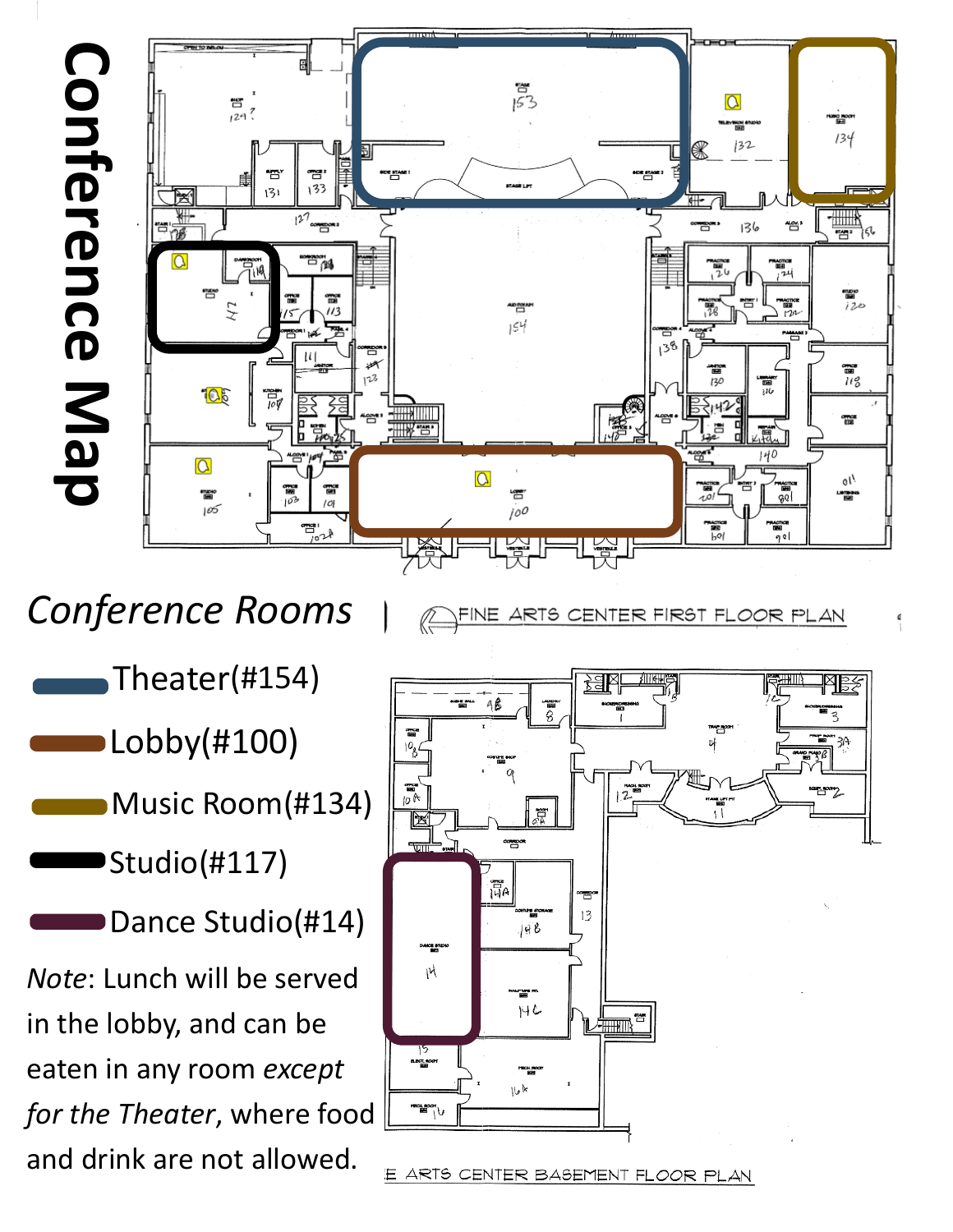

*Conference Rooms*

FINE ARTS CENTER FIRST FLOOR PLAN

- Theater(#154)
- Lobby(#100)
	- Music Room(#134)
- Studio(#117)
- Dance Studio(#14)

*Note*: Lunch will be served in the lobby, and can be eaten in any room *except for the Theater*, where food and drink are not allowed.



E ARTS CENTER BASEMENT FLOOR PLAN